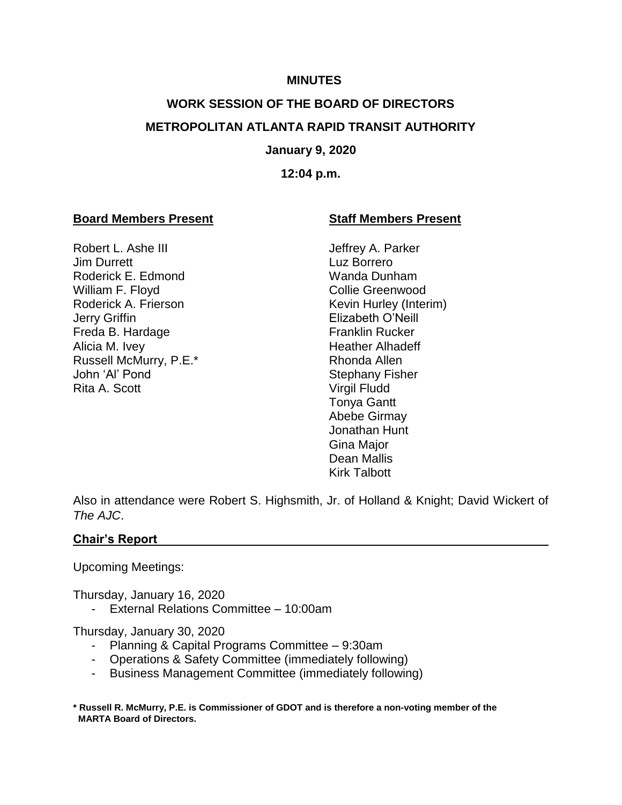#### **MINUTES**

# **WORK SESSION OF THE BOARD OF DIRECTORS METROPOLITAN ATLANTA RAPID TRANSIT AUTHORITY**

#### **January 9, 2020**

#### **12:04 p.m.**

#### **Board Members Present Staff Members Present**

Robert L. Ashe III **III** Jeffrey A. Parker **Jim Durrett** Luz Borrero Roderick E. Edmond Wanda Dunham William F. Floyd Collie Greenwood Roderick A. Frierson Kevin Hurley (Interim) Jerry Griffin Elizabeth O'Neill Freda B. Hardage **Franklin Rucker** Alicia M. Ivey **Heather Alhadeff** Russell McMurry, P.E.\* Rhonda Allen John 'Al' Pond Stephany Fisher Rita A. Scott Virgil Fludd

Tonya Gantt Abebe Girmay Jonathan Hunt Gina Major Dean Mallis Kirk Talbott

Also in attendance were Robert S. Highsmith, Jr. of Holland & Knight; David Wickert of *The AJC*.

#### **Chair's Report**

Upcoming Meetings:

Thursday, January 16, 2020

- External Relations Committee – 10:00am

Thursday, January 30, 2020

- Planning & Capital Programs Committee 9:30am
- Operations & Safety Committee (immediately following)
- Business Management Committee (immediately following)
- **\* Russell R. McMurry, P.E. is Commissioner of GDOT and is therefore a non-voting member of the MARTA Board of Directors.**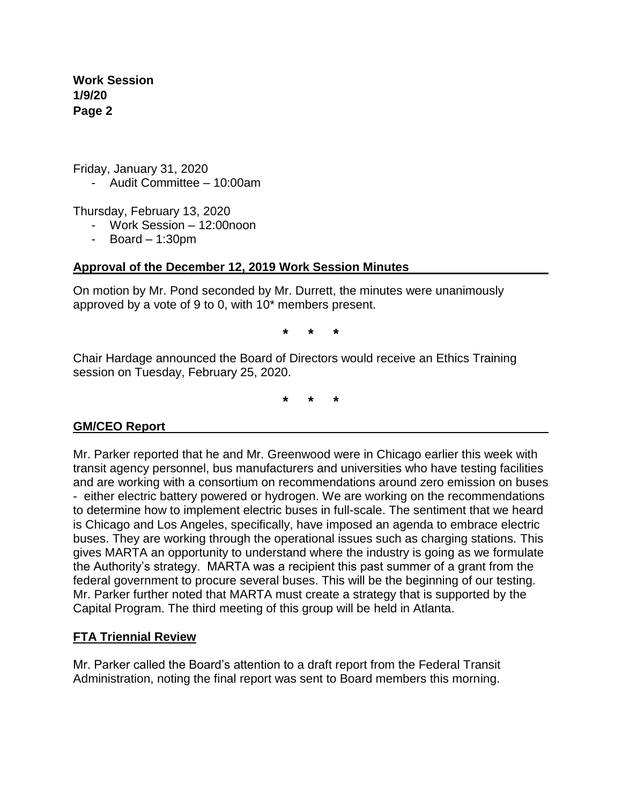Friday, January 31, 2020

- Audit Committee – 10:00am

Thursday, February 13, 2020

- Work Session 12:00noon
- Board 1:30pm

# **Approval of the December 12, 2019 Work Session Minutes**

On motion by Mr. Pond seconded by Mr. Durrett, the minutes were unanimously approved by a vote of 9 to 0, with 10\* members present.

**\* \* \***

Chair Hardage announced the Board of Directors would receive an Ethics Training session on Tuesday, February 25, 2020.

**\* \* \***

#### **GM/CEO Report**

Mr. Parker reported that he and Mr. Greenwood were in Chicago earlier this week with transit agency personnel, bus manufacturers and universities who have testing facilities and are working with a consortium on recommendations around zero emission on buses - either electric battery powered or hydrogen. We are working on the recommendations to determine how to implement electric buses in full-scale. The sentiment that we heard is Chicago and Los Angeles, specifically, have imposed an agenda to embrace electric buses. They are working through the operational issues such as charging stations. This gives MARTA an opportunity to understand where the industry is going as we formulate the Authority's strategy. MARTA was a recipient this past summer of a grant from the federal government to procure several buses. This will be the beginning of our testing. Mr. Parker further noted that MARTA must create a strategy that is supported by the Capital Program. The third meeting of this group will be held in Atlanta.

# **FTA Triennial Review**

Mr. Parker called the Board's attention to a draft report from the Federal Transit Administration, noting the final report was sent to Board members this morning.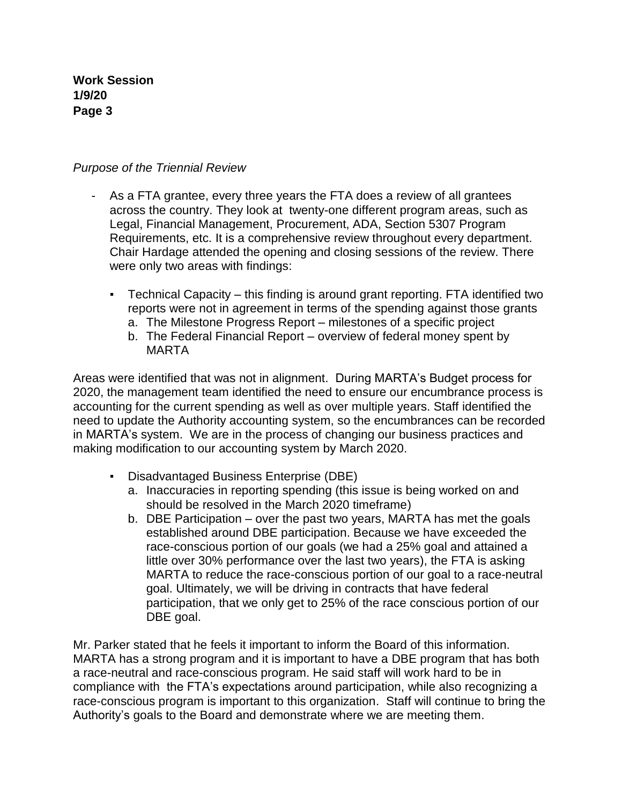# *Purpose of the Triennial Review*

- As a FTA grantee, every three years the FTA does a review of all grantees across the country. They look at twenty-one different program areas, such as Legal, Financial Management, Procurement, ADA, Section 5307 Program Requirements, etc. It is a comprehensive review throughout every department. Chair Hardage attended the opening and closing sessions of the review. There were only two areas with findings:
	- Technical Capacity this finding is around grant reporting. FTA identified two reports were not in agreement in terms of the spending against those grants
		- a. The Milestone Progress Report milestones of a specific project
		- b. The Federal Financial Report overview of federal money spent by MARTA

Areas were identified that was not in alignment. During MARTA's Budget process for 2020, the management team identified the need to ensure our encumbrance process is accounting for the current spending as well as over multiple years. Staff identified the need to update the Authority accounting system, so the encumbrances can be recorded in MARTA's system. We are in the process of changing our business practices and making modification to our accounting system by March 2020.

- Disadvantaged Business Enterprise (DBE)
	- a. Inaccuracies in reporting spending (this issue is being worked on and should be resolved in the March 2020 timeframe)
	- b. DBE Participation over the past two years, MARTA has met the goals established around DBE participation. Because we have exceeded the race-conscious portion of our goals (we had a 25% goal and attained a little over 30% performance over the last two years), the FTA is asking MARTA to reduce the race-conscious portion of our goal to a race-neutral goal. Ultimately, we will be driving in contracts that have federal participation, that we only get to 25% of the race conscious portion of our DBE goal.

Mr. Parker stated that he feels it important to inform the Board of this information. MARTA has a strong program and it is important to have a DBE program that has both a race-neutral and race-conscious program. He said staff will work hard to be in compliance with the FTA's expectations around participation, while also recognizing a race-conscious program is important to this organization. Staff will continue to bring the Authority's goals to the Board and demonstrate where we are meeting them.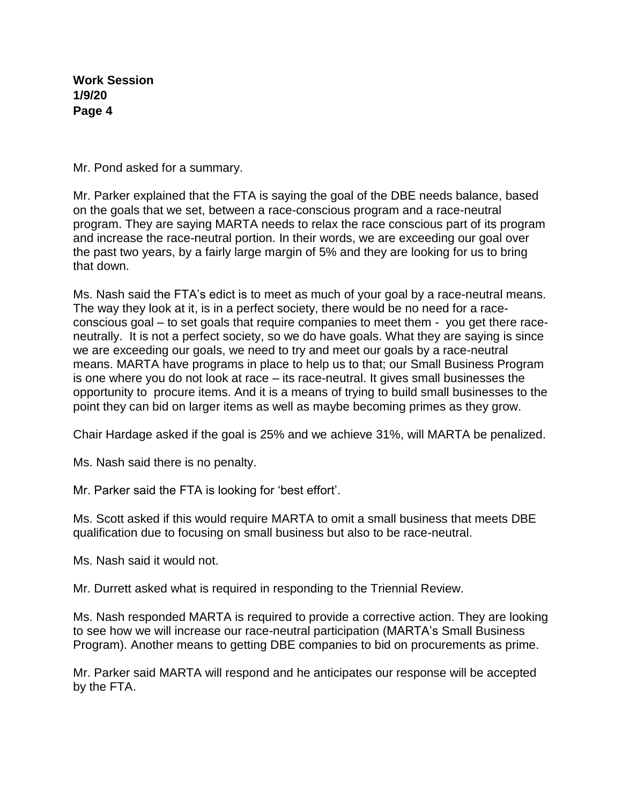Mr. Pond asked for a summary.

Mr. Parker explained that the FTA is saying the goal of the DBE needs balance, based on the goals that we set, between a race-conscious program and a race-neutral program. They are saying MARTA needs to relax the race conscious part of its program and increase the race-neutral portion. In their words, we are exceeding our goal over the past two years, by a fairly large margin of 5% and they are looking for us to bring that down.

Ms. Nash said the FTA's edict is to meet as much of your goal by a race-neutral means. The way they look at it, is in a perfect society, there would be no need for a raceconscious goal – to set goals that require companies to meet them - you get there raceneutrally. It is not a perfect society, so we do have goals. What they are saying is since we are exceeding our goals, we need to try and meet our goals by a race-neutral means. MARTA have programs in place to help us to that; our Small Business Program is one where you do not look at race – its race-neutral. It gives small businesses the opportunity to procure items. And it is a means of trying to build small businesses to the point they can bid on larger items as well as maybe becoming primes as they grow.

Chair Hardage asked if the goal is 25% and we achieve 31%, will MARTA be penalized.

Ms. Nash said there is no penalty.

Mr. Parker said the FTA is looking for 'best effort'.

Ms. Scott asked if this would require MARTA to omit a small business that meets DBE qualification due to focusing on small business but also to be race-neutral.

Ms. Nash said it would not.

Mr. Durrett asked what is required in responding to the Triennial Review.

Ms. Nash responded MARTA is required to provide a corrective action. They are looking to see how we will increase our race-neutral participation (MARTA's Small Business Program). Another means to getting DBE companies to bid on procurements as prime.

Mr. Parker said MARTA will respond and he anticipates our response will be accepted by the FTA.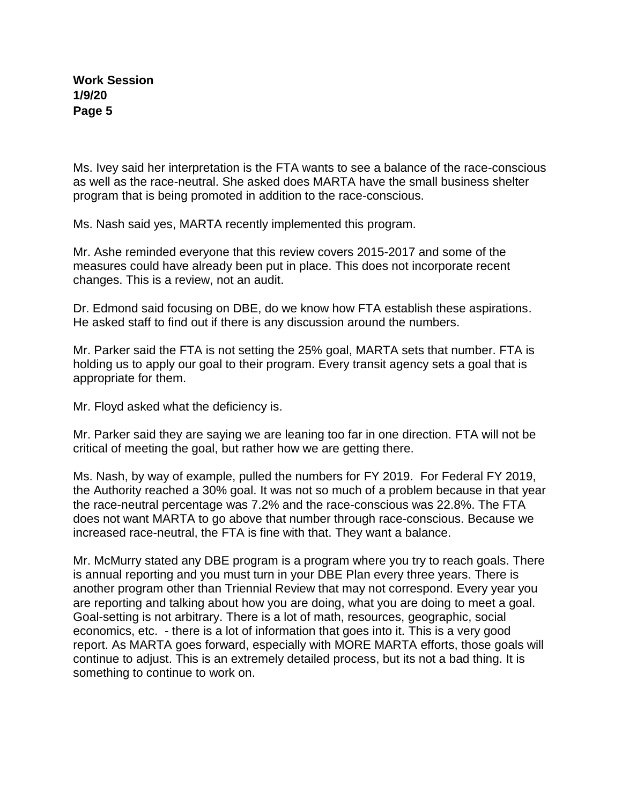Ms. Ivey said her interpretation is the FTA wants to see a balance of the race-conscious as well as the race-neutral. She asked does MARTA have the small business shelter program that is being promoted in addition to the race-conscious.

Ms. Nash said yes, MARTA recently implemented this program.

Mr. Ashe reminded everyone that this review covers 2015-2017 and some of the measures could have already been put in place. This does not incorporate recent changes. This is a review, not an audit.

Dr. Edmond said focusing on DBE, do we know how FTA establish these aspirations. He asked staff to find out if there is any discussion around the numbers.

Mr. Parker said the FTA is not setting the 25% goal, MARTA sets that number. FTA is holding us to apply our goal to their program. Every transit agency sets a goal that is appropriate for them.

Mr. Floyd asked what the deficiency is.

Mr. Parker said they are saying we are leaning too far in one direction. FTA will not be critical of meeting the goal, but rather how we are getting there.

Ms. Nash, by way of example, pulled the numbers for FY 2019. For Federal FY 2019, the Authority reached a 30% goal. It was not so much of a problem because in that year the race-neutral percentage was 7.2% and the race-conscious was 22.8%. The FTA does not want MARTA to go above that number through race-conscious. Because we increased race-neutral, the FTA is fine with that. They want a balance.

Mr. McMurry stated any DBE program is a program where you try to reach goals. There is annual reporting and you must turn in your DBE Plan every three years. There is another program other than Triennial Review that may not correspond. Every year you are reporting and talking about how you are doing, what you are doing to meet a goal. Goal-setting is not arbitrary. There is a lot of math, resources, geographic, social economics, etc. - there is a lot of information that goes into it. This is a very good report. As MARTA goes forward, especially with MORE MARTA efforts, those goals will continue to adjust. This is an extremely detailed process, but its not a bad thing. It is something to continue to work on.